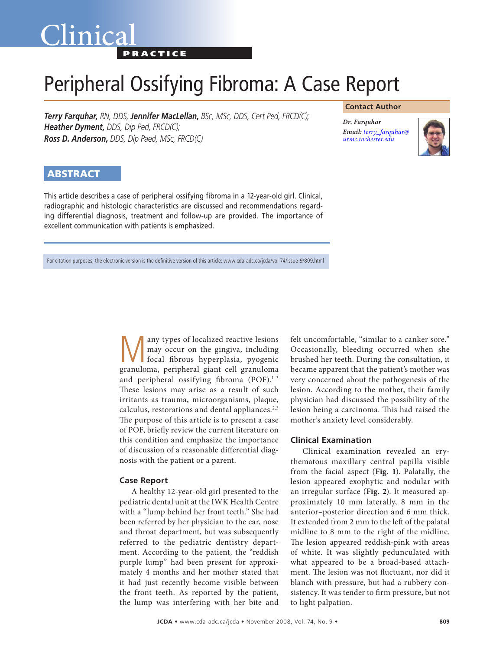## Clinica **PRACTICE**

# Peripheral Ossifying Fibroma: A Case Report

*Terry Farquhar, RN, DDS; Jennifer MacLellan, BSc, MSc, DDS, Cert Ped, FRCD(C); Heather Dyment, DDS, Dip Ped, FRCD(C); Ross D. Anderson, DDS, Dip Paed, MSc, FRCD(C)* 

#### **Contact Author**

*Dr. Farquhar Email: terry\_farquhar@ [urmc.rochester.edu](mailto:terry_farquhar@urmc.rochester.edu)*



### **ABSTRACT**

This article describes a case of peripheral ossifying fibroma in a 12-year-old girl. Clinical, radiographic and histologic characteristics are discussed and recommendations regarding differential diagnosis, treatment and follow-up are provided. The importance of excellent communication with patients is emphasized.

For citation purposes, the electronic version is the definitive version of this article: www.cda-adc.ca/jcda/vol-74/issue-9/809.html

Many types of localized reactive lesions<br>
may occur on the gingiva, including<br>
focal fibrous hyperplasia, pyogenic<br>
reapylome, peripheral giant cell grapulome may occur on the gingiva, including granuloma, peripheral giant cell granuloma and peripheral ossifying fibroma (POF).<sup>1-3</sup> These lesions may arise as a result of such irritants as trauma, microorganisms, plaque, calculus, restorations and dental appliances.<sup>2,3</sup> The purpose of this article is to present a case of POF, briefly review the current literature on this condition and emphasize the importance of discussion of a reasonable differential diagnosis with the patient or a parent.

#### **Case Report**

A healthy 12-year-old girl presented to the pediatric dental unit at the IWK Health Centre with a "lump behind her front teeth." She had been referred by her physician to the ear, nose and throat department, but was subsequently referred to the pediatric dentistry department. According to the patient, the "reddish purple lump" had been present for approximately 4 months and her mother stated that it had just recently become visible between the front teeth. As reported by the patient, the lump was interfering with her bite and

felt uncomfortable, "similar to a canker sore." Occasionally, bleeding occurred when she brushed her teeth. During the consultation, it became apparent that the patient's mother was very concerned about the pathogenesis of the lesion. According to the mother, their family physician had discussed the possibility of the lesion being a carcinoma. This had raised the mother's anxiety level considerably.

#### **Clinical Examination**

Clinical examination revealed an erythematous maxillary central papilla visible from the facial aspect (**Fig. 1**). Palatally, the lesion appeared exophytic and nodular with an irregular surface (**Fig. 2**). It measured approximately 10 mm laterally, 8 mm in the anterior–posterior direction and 6 mm thick. It extended from 2 mm to the left of the palatal midline to 8 mm to the right of the midline. The lesion appeared reddish-pink with areas of white. It was slightly pedunculated with what appeared to be a broad-based attachment. The lesion was not fluctuant, nor did it blanch with pressure, but had a rubbery consistency. It was tender to firm pressure, but not to light palpation.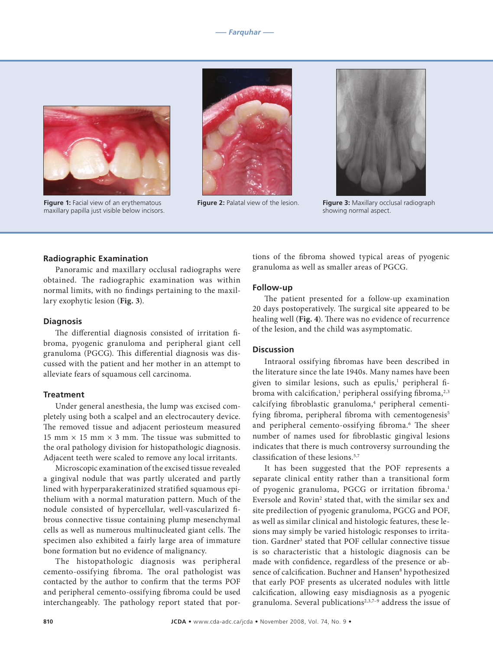

**Figure 1:** Facial view of an erythematous maxillary papilla just visible below incisors.





**Figure 2:** Palatal view of the lesion. **Figure 3:** Maxillary occlusal radiograph showing normal aspect.

#### **Radiographic Examination**

Panoramic and maxillary occlusal radiographs were obtained. The radiographic examination was within normal limits, with no findings pertaining to the maxillary exophytic lesion (**Fig. 3**).

#### **Diagnosis**

The differential diagnosis consisted of irritation fibroma, pyogenic granuloma and peripheral giant cell granuloma (PGCG). This differential diagnosis was discussed with the patient and her mother in an attempt to alleviate fears of squamous cell carcinoma.

#### **Treatment**

Under general anesthesia, the lump was excised completely using both a scalpel and an electrocautery device. The removed tissue and adjacent periosteum measured 15 mm  $\times$  15 mm  $\times$  3 mm. The tissue was submitted to the oral pathology division for histopathologic diagnosis. Adjacent teeth were scaled to remove any local irritants.

Microscopic examination of the excised tissue revealed a gingival nodule that was partly ulcerated and partly lined with hyperparakeratinized stratified squamous epithelium with a normal maturation pattern. Much of the nodule consisted of hypercellular, well-vascularized fibrous connective tissue containing plump mesenchymal cells as well as numerous multinucleated giant cells. The specimen also exhibited a fairly large area of immature bone formation but no evidence of malignancy.

The histopathologic diagnosis was peripheral cemento-ossifying fibroma. The oral pathologist was contacted by the author to confirm that the terms POF and peripheral cemento-ossifying fibroma could be used interchangeably. The pathology report stated that portions of the fibroma showed typical areas of pyogenic granuloma as well as smaller areas of PGCG.

#### **Follow-up**

The patient presented for a follow-up examination 20 days postoperatively. The surgical site appeared to be healing well (**Fig. 4**). There was no evidence of recurrence of the lesion, and the child was asymptomatic.

#### **Discussion**

Intraoral ossifying fibromas have been described in the literature since the late 1940s. Many names have been given to similar lesions, such as epulis,<sup>1</sup> peripheral fibroma with calcification, $^{\rm l}$  peripheral ossifying fibroma, $^{\rm 2,3}$ calcifying fibroblastic granuloma,<sup>4</sup> peripheral cementifying fibroma, peripheral fibroma with cementogenesis<sup>5</sup> and peripheral cemento-ossifying fibroma.<sup>6</sup> The sheer number of names used for fibroblastic gingival lesions indicates that there is much controversy surrounding the classification of these lesions.5,7

It has been suggested that the POF represents a separate clinical entity rather than a transitional form of pyogenic granuloma, PGCG or irritation fibroma.<sup>1</sup> Eversole and Rovin<sup>2</sup> stated that, with the similar sex and site predilection of pyogenic granuloma, PGCG and POF, as well as similar clinical and histologic features, these lesions may simply be varied histologic responses to irritation. Gardner<sup>3</sup> stated that POF cellular connective tissue is so characteristic that a histologic diagnosis can be made with confidence, regardless of the presence or absence of calcification. Buchner and Hansen<sup>8</sup> hypothesized that early POF presents as ulcerated nodules with little calcification, allowing easy misdiagnosis as a pyogenic granuloma. Several publications<sup>2,3,7-9</sup> address the issue of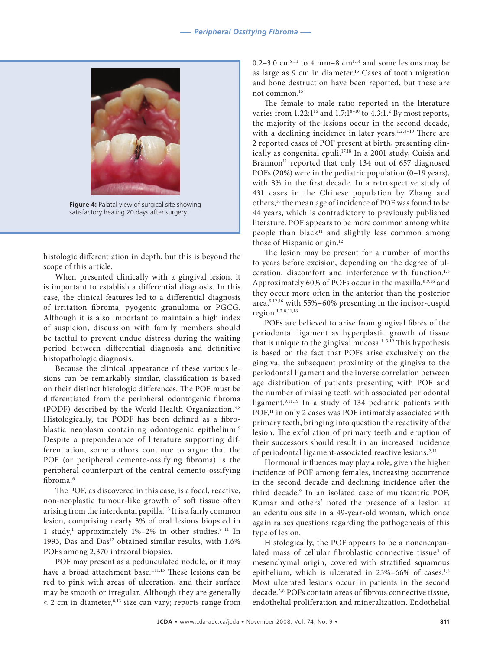

**Figure 4:** Palatal view of surgical site showing satisfactory healing 20 days after surgery.

histologic differentiation in depth, but this is beyond the scope of this article.

When presented clinically with a gingival lesion, it is important to establish a differential diagnosis. In this case, the clinical features led to a differential diagnosis of irritation fibroma, pyogenic granuloma or PGCG. Although it is also important to maintain a high index of suspicion, discussion with family members should be tactful to prevent undue distress during the waiting period between differential diagnosis and definitive histopathologic diagnosis.

Because the clinical appearance of these various lesions can be remarkably similar, classification is based on their distinct histologic differences. The POF must be differentiated from the peripheral odontogenic fibroma (PODF) described by the World Health Organization.3,8 Histologically, the PODF has been defined as a fibroblastic neoplasm containing odontogenic epithelium.<sup>9</sup> Despite a preponderance of literature supporting differentiation, some authors continue to argue that the POF (or peripheral cemento-ossifying fibroma) is the peripheral counterpart of the central cemento-ossifying fibroma.6

The POF, as discovered in this case, is a focal, reactive, non-neoplastic tumour-like growth of soft tissue often arising from the interdental papilla. $^{\rm 1,3}$  It is a fairly common lesion, comprising nearly 3% of oral lesions biopsied in 1 study,<sup>1</sup> approximately 1%-2% in other studies.<sup>9-11</sup> In 1993, Das and Das<sup>12</sup> obtained similar results, with 1.6% POFs among 2,370 intraoral biopsies.

POF may present as a pedunculated nodule, or it may have a broad attachment base.<sup>1,11,13</sup> These lesions can be red to pink with areas of ulceration, and their surface may be smooth or irregular. Although they are generally  $<$  2 cm in diameter,<sup>8,13</sup> size can vary; reports range from 0.2–3.0  $\text{cm}^{8,11}$  to 4 mm–8  $\text{cm}^{1,14}$  and some lesions may be as large as 9 cm in diameter.15 Cases of tooth migration and bone destruction have been reported, but these are not common.15

The female to male ratio reported in the literature varies from  $1.22:1^{16}$  and  $1.7:1^{8-10}$  to  $4.3:1.^2$  By most reports, the majority of the lesions occur in the second decade, with a declining incidence in later years.<sup>1,2,8-10</sup> There are 2 reported cases of POF present at birth, presenting clinically as congenital epuli.17,18 In a 2001 study, Cuisia and Brannon<sup>11</sup> reported that only 134 out of 657 diagnosed POFs (20%) were in the pediatric population (0–19 years), with 8% in the first decade. In a retrospective study of 431 cases in the Chinese population by Zhang and others,16 the mean age of incidence of POF was found to be 44 years, which is contradictory to previously published literature. POF appears to be more common among white people than black<sup>11</sup> and slightly less common among those of Hispanic origin.<sup>12</sup>

The lesion may be present for a number of months to years before excision, depending on the degree of ulceration, discomfort and interference with function.<sup>1,8</sup> Approximately 60% of POFs occur in the maxilla, 8,9,16 and they occur more often in the anterior than the posterior area,9,12,16 with 55%–60% presenting in the incisor-cuspid region.1,2,8,11,16

POFs are believed to arise from gingival fibres of the periodontal ligament as hyperplastic growth of tissue that is unique to the gingival mucosa.<sup>1-3,19</sup> This hypothesis is based on the fact that POFs arise exclusively on the gingiva, the subsequent proximity of the gingiva to the periodontal ligament and the inverse correlation between age distribution of patients presenting with POF and the number of missing teeth with associated periodontal ligament.9,11,19 In a study of 134 pediatric patients with POF,<sup>11</sup> in only 2 cases was POF intimately associated with primary teeth, bringing into question the reactivity of the lesion. The exfoliation of primary teeth and eruption of their successors should result in an increased incidence of periodontal ligament-associated reactive lesions.<sup>2,11</sup>

Hormonal influences may play a role, given the higher incidence of POF among females, increasing occurrence in the second decade and declining incidence after the third decade.9 In an isolated case of multicentric POF, Kumar and others<sup>5</sup> noted the presence of a lesion at an edentulous site in a 49-year-old woman, which once again raises questions regarding the pathogenesis of this type of lesion.

Histologically, the POF appears to be a nonencapsulated mass of cellular fibroblastic connective tissue<sup>3</sup> of mesenchymal origin, covered with stratified squamous epithelium, which is ulcerated in 23%-66% of cases.<sup>1,8</sup> Most ulcerated lesions occur in patients in the second decade.2,8 POFs contain areas of fibrous connective tissue, endothelial proliferation and mineralization. Endothelial